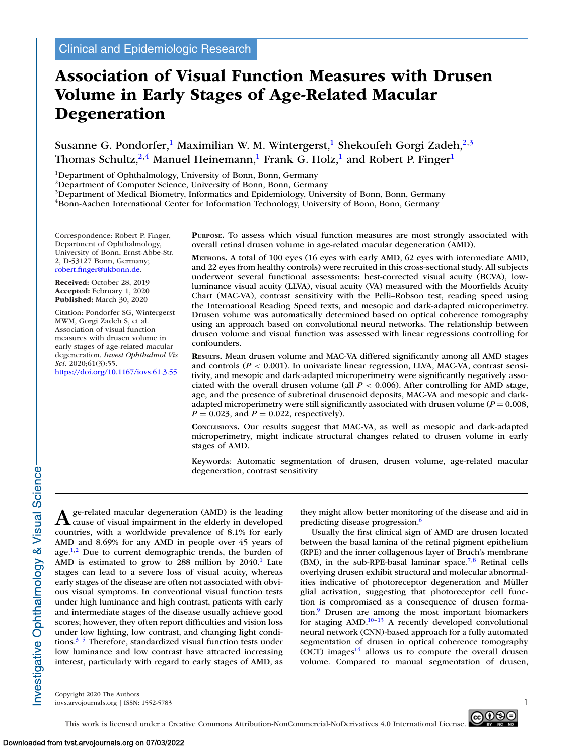# **Association of Visual Function Measures with Drusen Volume in Early Stages of Age-Related Macular Degeneration**

Susanne G. Pondorfer,<sup>1</sup> Maximilian W. M. Wintergerst,<sup>1</sup> Shekoufeh Gorgi Zadeh,<sup>2,3</sup> Thomas Schultz,<sup>2,4</sup> Manuel Heinemann,<sup>1</sup> Frank G. Holz,<sup>1</sup> and Robert P. Finger<sup>1</sup>

<sup>1</sup>Department of Ophthalmology, University of Bonn, Bonn, Germany

2Department of Computer Science, University of Bonn, Bonn, Germany

<sup>3</sup>Department of Medical Biometry, Informatics and Epidemiology, University of Bonn, Bonn, Germany

4Bonn-Aachen International Center for Information Technology, University of Bonn, Bonn, Germany

Correspondence: Robert P. Finger, Department of Ophthalmology, University of Bonn, Ernst-Abbe-Str. 2, D-53127 Bonn, Germany; [robert.finger@ukbonn.de.](mailto:robert.finger@ukbonn.de)

**Received:** October 28, 2019 **Accepted:** February 1, 2020 **Published:** March 30, 2020

Citation: Pondorfer SG, Wintergerst MWM, Gorgi Zadeh S, et al. Association of visual function measures with drusen volume in early stages of age-related macular degeneration. *Invest Ophthalmol Vis Sci.* 2020;61(3):55. <https://doi.org/10.1167/iovs.61.3.55>

**PURPOSE.** To assess which visual function measures are most strongly associated with overall retinal drusen volume in age-related macular degeneration (AMD).

**METHODS.** A total of 100 eyes (16 eyes with early AMD, 62 eyes with intermediate AMD, and 22 eyes from healthy controls) were recruited in this cross-sectional study. All subjects underwent several functional assessments: best-corrected visual acuity (BCVA), lowluminance visual acuity (LLVA), visual acuity (VA) measured with the Moorfields Acuity Chart (MAC-VA), contrast sensitivity with the Pelli–Robson test, reading speed using the International Reading Speed texts, and mesopic and dark-adapted microperimetry. Drusen volume was automatically determined based on optical coherence tomography using an approach based on convolutional neural networks. The relationship between drusen volume and visual function was assessed with linear regressions controlling for confounders.

**RESULTS.** Mean drusen volume and MAC-VA differed significantly among all AMD stages and controls  $(P < 0.001)$ . In univariate linear regression, LLVA, MAC-VA, contrast sensitivity, and mesopic and dark-adapted microperimetry were significantly negatively associated with the overall drusen volume (all  $P < 0.006$ ). After controlling for AMD stage, age, and the presence of subretinal drusenoid deposits, MAC-VA and mesopic and darkadapted microperimetry were still significantly associated with drusen volume (*P* = 0.008,  $P = 0.023$ , and  $P = 0.022$ , respectively).

**CONCLUSIONS.** Our results suggest that MAC-VA, as well as mesopic and dark-adapted microperimetry, might indicate structural changes related to drusen volume in early stages of AMD.

Keywords: Automatic segmentation of drusen, drusen volume, age-related macular degeneration, contrast sensitivity

A ge-related macular degeneration (AMD) is the leading<br>cause of visual impairment in the elderly in developed countries, with a worldwide prevalence of 8.1% for early AMD and 8.69% for any AMD in people over 45 years of age. $1,2$  Due to current demographic trends, the burden of AMD is estimated to grow to  $288$  million by  $2040$ .<sup>1</sup> Late stages can lead to a severe loss of visual acuity, whereas early stages of the disease are often not associated with obvious visual symptoms. In conventional visual function tests under high luminance and high contrast, patients with early and intermediate stages of the disease usually achieve good scores; however, they often report difficulties and vision loss under low lighting, low contrast, and changing light conditions. $3-5$  Therefore, standardized visual function tests under low luminance and low contrast have attracted increasing interest, particularly with regard to early stages of AMD, as

they might allow better monitoring of the disease and aid in predicting disease progression.<sup>6</sup>

Usually the first clinical sign of AMD are drusen located between the basal lamina of the retinal pigment epithelium (RPE) and the inner collagenous layer of Bruch's membrane (BM), in the sub-RPE-basal laminar space.<sup>7,8</sup> Retinal cells overlying drusen exhibit structural and molecular abnormalities indicative of photoreceptor degeneration and Müller glial activation, suggesting that photoreceptor cell function is compromised as a consequence of drusen formation[.9](#page-4-0) Drusen are among the most important biomarkers for staging  $AMD$ .<sup>10-[13](#page-5-0)</sup> A recently developed convolutional neural network (CNN)-based approach for a fully automated segmentation of drusen in optical coherence tomography (OCT) images $14$  allows us to compute the overall drusen volume. Compared to manual segmentation of drusen,

Copyright 2020 The Authors iovs.arvojournals.org | ISSN: 1552-5783 1

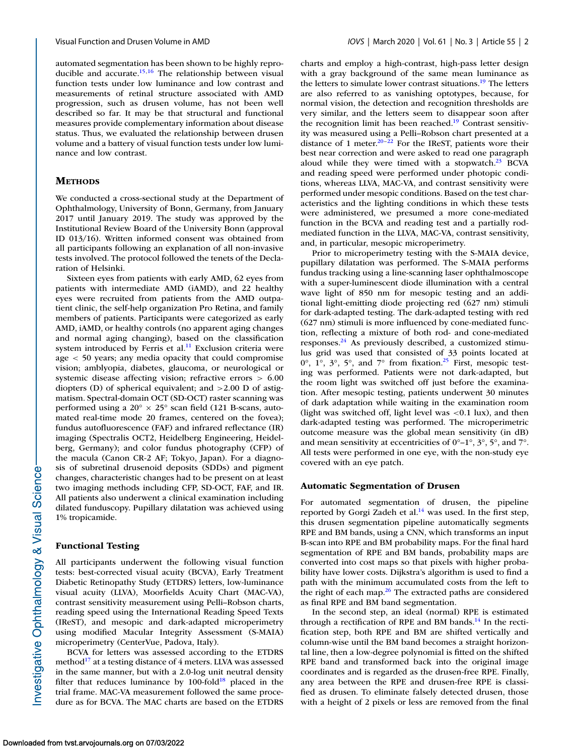automated segmentation has been shown to be highly reproducible and accurate.<sup>15,16</sup> The relationship between visual function tests under low luminance and low contrast and measurements of retinal structure associated with AMD progression, such as drusen volume, has not been well described so far. It may be that structural and functional measures provide complementary information about disease status. Thus, we evaluated the relationship between drusen volume and a battery of visual function tests under low luminance and low contrast.

# **METHODS**

We conducted a cross-sectional study at the Department of Ophthalmology, University of Bonn, Germany, from January 2017 until January 2019. The study was approved by the Institutional Review Board of the University Bonn (approval ID 013/16). Written informed consent was obtained from all participants following an explanation of all non-invasive tests involved. The protocol followed the tenets of the Declaration of Helsinki.

Sixteen eyes from patients with early AMD, 62 eyes from patients with intermediate AMD (iAMD), and 22 healthy eyes were recruited from patients from the AMD outpatient clinic, the self-help organization Pro Retina, and family members of patients. Participants were categorized as early AMD, iAMD, or healthy controls (no apparent aging changes and normal aging changing), based on the classification system introduced by Ferris et al. $<sup>11</sup>$  Exclusion criteria were</sup> age < 50 years; any media opacity that could compromise vision; amblyopia, diabetes, glaucoma, or neurological or systemic disease affecting vision; refractive errors > 6.00 diopters (D) of spherical equivalent; and >2.00 D of astigmatism. Spectral-domain OCT (SD-OCT) raster scanning was performed using a  $20^{\circ} \times 25^{\circ}$  scan field (121 B-scans, automated real-time mode 20 frames, centered on the fovea); fundus autofluorescence (FAF) and infrared reflectance (IR) imaging (Spectralis OCT2, Heidelberg Engineering, Heidelberg, Germany); and color fundus photography (CFP) of the macula (Canon CR-2 AF; Tokyo, Japan). For a diagnosis of subretinal drusenoid deposits (SDDs) and pigment changes, characteristic changes had to be present on at least two imaging methods including CFP, SD-OCT, FAF, and IR. All patients also underwent a clinical examination including dilated funduscopy. Pupillary dilatation was achieved using 1% tropicamide.

#### **Functional Testing**

All participants underwent the following visual function tests: best-corrected visual acuity (BCVA), Early Treatment Diabetic Retinopathy Study (ETDRS) letters, low-luminance visual acuity (LLVA), Moorfields Acuity Chart (MAC-VA), contrast sensitivity measurement using Pelli–Robson charts, reading speed using the International Reading Speed Texts (IReST), and mesopic and dark-adapted microperimetry using modified Macular Integrity Assessment (S-MAIA) microperimetry (CenterVue, Padova, Italy).

BCVA for letters was assessed according to the ETDRS method $^{17}$  $^{17}$  $^{17}$  at a testing distance of 4 meters. LLVA was assessed in the same manner, but with a 2.0-log unit neutral density filter that reduces luminance by  $100$ -fold<sup>18</sup> placed in the trial frame. MAC-VA measurement followed the same procedure as for BCVA. The MAC charts are based on the ETDRS charts and employ a high-contrast, high-pass letter design with a gray background of the same mean luminance as the letters to simulate lower contrast situations[.19](#page-5-0) The letters are also referred to as vanishing optotypes, because, for normal vision, the detection and recognition thresholds are very similar, and the letters seem to disappear soon after the recognition limit has been reached.<sup>19</sup> Contrast sensitivity was measured using a Pelli–Robson chart presented at a distance of 1 meter. $20-22$  For the IReST, patients wore their best near correction and were asked to read one paragraph aloud while they were timed with a stopwatch. $23$  BCVA and reading speed were performed under photopic conditions, whereas LLVA, MAC-VA, and contrast sensitivity were performed under mesopic conditions. Based on the test characteristics and the lighting conditions in which these tests were administered, we presumed a more cone-mediated function in the BCVA and reading test and a partially rodmediated function in the LLVA, MAC-VA, contrast sensitivity, and, in particular, mesopic microperimetry.

Prior to microperimetry testing with the S-MAIA device, pupillary dilatation was performed. The S-MAIA performs fundus tracking using a line-scanning laser ophthalmoscope with a super-luminescent diode illumination with a central wave light of 850 nm for mesopic testing and an additional light-emitting diode projecting red (627 nm) stimuli for dark-adapted testing. The dark-adapted testing with red (627 nm) stimuli is more influenced by cone-mediated function, reflecting a mixture of both rod- and cone-mediated responses. $24$  As previously described, a customized stimulus grid was used that consisted of 33 points located at  $0^\circ$ ,  $1^\circ$ ,  $3^\circ$ ,  $5^\circ$ , and  $7^\circ$  from fixation.<sup>25</sup> First, mesopic testing was performed. Patients were not dark-adapted, but the room light was switched off just before the examination. After mesopic testing, patients underwent 30 minutes of dark adaptation while waiting in the examination room (light was switched off, light level was  $< 0.1$  lux), and then dark-adapted testing was performed. The microperimetric outcome measure was the global mean sensitivity (in dB) and mean sensitivity at eccentricities of  $0^{\circ}$ –1°,  $3^{\circ}$ ,  $5^{\circ}$ , and  $7^{\circ}$ . All tests were performed in one eye, with the non-study eye covered with an eye patch.

# **Automatic Segmentation of Drusen**

For automated segmentation of drusen, the pipeline reported by Gorgi Zadeh et al.<sup>14</sup> was used. In the first step, this drusen segmentation pipeline automatically segments RPE and BM bands, using a CNN, which transforms an input B-scan into RPE and BM probability maps. For the final hard segmentation of RPE and BM bands, probability maps are converted into cost maps so that pixels with higher probability have lower costs. Dijkstra's algorithm is used to find a path with the minimum accumulated costs from the left to the right of each map. $26$  The extracted paths are considered as final RPE and BM band segmentation.

In the second step, an ideal (normal) RPE is estimated through a rectification of RPE and BM bands.<sup>14</sup> In the rectification step, both RPE and BM are shifted vertically and column-wise until the BM band becomes a straight horizontal line, then a low-degree polynomial is fitted on the shifted RPE band and transformed back into the original image coordinates and is regarded as the drusen-free RPE. Finally, any area between the RPE and drusen-free RPE is classified as drusen. To eliminate falsely detected drusen, those with a height of 2 pixels or less are removed from the final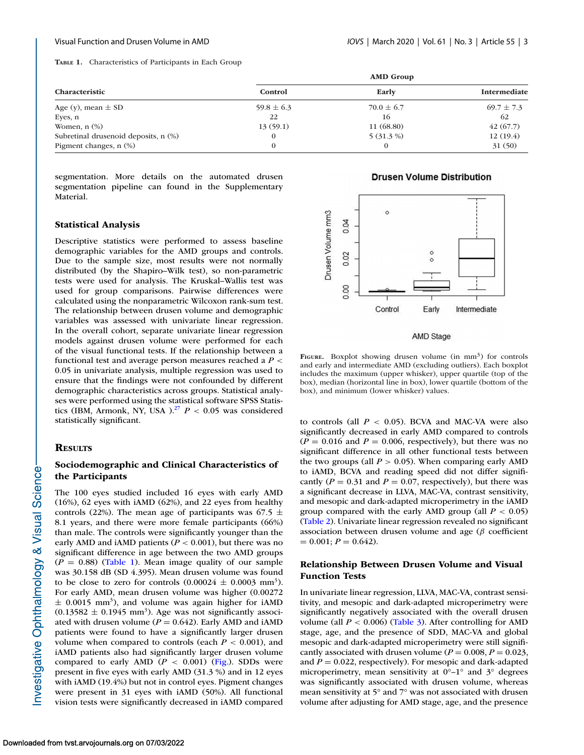**TABLE 1.** Characteristics of Participants in Each Group

|                                      | <b>AMD</b> Group |                |                     |  |
|--------------------------------------|------------------|----------------|---------------------|--|
| Characteristic                       | Control          | Early          | <b>Intermediate</b> |  |
| Age (y), mean $\pm$ SD               | $59.8 \pm 6.3$   | $70.0 \pm 6.7$ | $69.7 \pm 7.3$      |  |
| Eyes, n                              | 22               | 16             | 62                  |  |
| Women, $n$ $(\%)$                    | 13(59.1)         | 11 (68.80)     | 42(67.7)            |  |
| Subretinal drusenoid deposits, n (%) |                  | $5(31.3\%)$    | 12(19.4)            |  |
| Pigment changes, $n$ $(\%)$          |                  |                | 31(50)              |  |

segmentation. More details on the automated drusen segmentation pipeline can found in the Supplementary Material.

# **Statistical Analysis**

Descriptive statistics were performed to assess baseline demographic variables for the AMD groups and controls. Due to the sample size, most results were not normally distributed (by the Shapiro–Wilk test), so non-parametric tests were used for analysis. The Kruskal–Wallis test was used for group comparisons. Pairwise differences were calculated using the nonparametric Wilcoxon rank-sum test. The relationship between drusen volume and demographic variables was assessed with univariate linear regression. In the overall cohort, separate univariate linear regression models against drusen volume were performed for each of the visual functional tests. If the relationship between a functional test and average person measures reached a *P* < 0.05 in univariate analysis, multiple regression was used to ensure that the findings were not confounded by different demographic characteristics across groups. Statistical analyses were performed using the statistical software SPSS Statistics (IBM, Armonk, NY, USA ).<sup>27</sup>  $P < 0.05$  was considered statistically significant.

# **RESULTS**

# **Sociodemographic and Clinical Characteristics of the Participants**

The 100 eyes studied included 16 eyes with early AMD (16%), 62 eyes with iAMD (62%), and 22 eyes from healthy controls (22%). The mean age of participants was 67.5  $\pm$ 8.1 years, and there were more female participants (66%) than male. The controls were significantly younger than the early AMD and iAMD patients ( $P < 0.001$ ), but there was no significant difference in age between the two AMD groups  $(P = 0.88)$  (Table 1). Mean image quality of our sample was 30.158 dB (SD 4.395). Mean drusen volume was found to be close to zero for controls  $(0.00024 \pm 0.0003 \text{ mm}^3)$ . For early AMD, mean drusen volume was higher (0.00272  $\pm$  0.0015 mm<sup>3</sup>), and volume was again higher for iAMD  $(0.13582 \pm 0.1945 \text{ mm}^3)$ . Age was not significantly associated with drusen volume ( $P = 0.642$ ). Early AMD and iAMD patients were found to have a significantly larger drusen volume when compared to controls (each  $P < 0.001$ ), and iAMD patients also had significantly larger drusen volume compared to early AMD  $(P < 0.001)$  (Fig.). SDDs were present in five eyes with early AMD (31.3 %) and in 12 eyes with iAMD (19.4%) but not in control eyes. Pigment changes were present in 31 eyes with iAMD (50%). All functional vision tests were significantly decreased in iAMD compared

### **Drusen Volume Distribution**



#### **AMD Stage**

FIGURE. Boxplot showing drusen volume (in mm<sup>3</sup>) for controls and early and intermediate AMD (excluding outliers). Each boxplot includes the maximum (upper whisker), upper quartile (top of the box), median (horizontal line in box), lower quartile (bottom of the box), and minimum (lower whisker) values.

to controls (all  $P < 0.05$ ). BCVA and MAC-VA were also significantly decreased in early AMD compared to controls  $(P = 0.016$  and  $P = 0.006$ , respectively), but there was no significant difference in all other functional tests between the two groups (all  $P > 0.05$ ). When comparing early AMD to iAMD, BCVA and reading speed did not differ significantly ( $P = 0.31$  and  $P = 0.07$ , respectively), but there was a significant decrease in LLVA, MAC-VA, contrast sensitivity, and mesopic and dark-adapted microperimetry in the iAMD group compared with the early AMD group (all  $P < 0.05$ ) [\(Table 2\)](#page-3-0). Univariate linear regression revealed no significant association between drusen volume and age ( $\beta$  coefficient  $= 0.001; P = 0.642.$ 

# **Relationship Between Drusen Volume and Visual Function Tests**

In univariate linear regression, LLVA, MAC-VA, contrast sensitivity, and mesopic and dark-adapted microperimetry were significantly negatively associated with the overall drusen volume (all  $P < 0.006$ ) [\(Table 3\)](#page-3-0). After controlling for AMD stage, age, and the presence of SDD, MAC-VA and global mesopic and dark-adapted microperimetry were still significantly associated with drusen volume ( $P = 0.008$ ,  $P = 0.023$ , and  $P = 0.022$ , respectively). For mesopic and dark-adapted microperimetry, mean sensitivity at  $0^{\circ}-1^{\circ}$  and  $3^{\circ}$  degrees was significantly associated with drusen volume, whereas mean sensitivity at 5° and 7° was not associated with drusen volume after adjusting for AMD stage, age, and the presence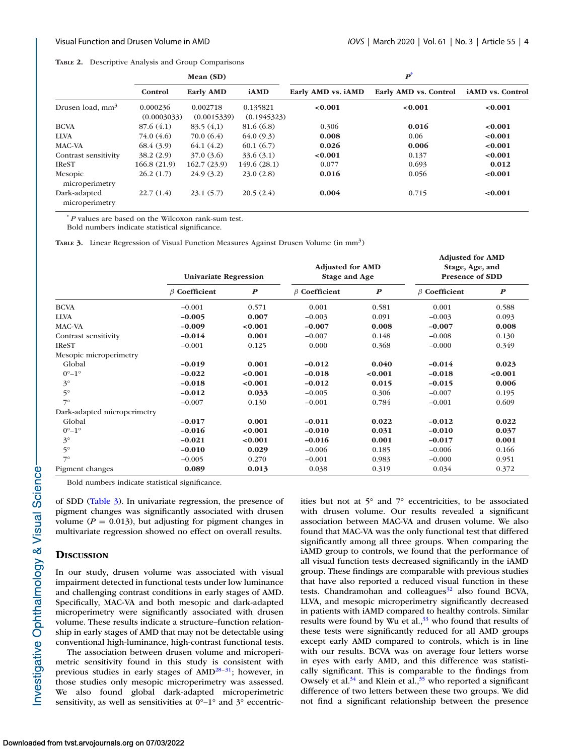<span id="page-3-0"></span>

|                                | Mean (SD)               |                         |                         | $\boldsymbol{p}^*$ |                       |                  |  |
|--------------------------------|-------------------------|-------------------------|-------------------------|--------------------|-----------------------|------------------|--|
|                                | Control                 | <b>Early AMD</b>        | <b>iAMD</b>             | Early AMD vs. iAMD | Early AMD vs. Control | iAMD vs. Control |  |
| Drusen load, mm <sup>3</sup>   | 0.000236<br>(0.0003033) | 0.002718<br>(0.0015339) | 0.135821<br>(0.1945323) | < 0.001            | < 0.001               | < 0.001          |  |
| <b>BCVA</b>                    | 87.6(4.1)               | 83.5(4,1)               | 81.6 (6.8)              | 0.306              | 0.016                 | < 0.001          |  |
| <b>LLVA</b>                    | 74.0 (4.6)              | 70.0(6.4)               | 64.0(9.3)               | 0.008              | 0.06                  | < 0.001          |  |
| MAC-VA                         | 68.4(3.9)               | 64.1(4.2)               | 60.1(6.7)               | 0.026              | 0.006                 | < 0.001          |  |
| Contrast sensitivity           | 38.2(2.9)               | 37.0(3.6)               | 33.6(3.1)               | < 0.001            | 0.137                 | < 0.001          |  |
| <b>IReST</b>                   | 166.8(21.9)             | 162.7(23.9)             | 149.6(28.1)             | 0.077              | 0.693                 | 0.012            |  |
| Mesopic<br>microperimetry      | 26.2(1.7)               | 24.9(3.2)               | 23.0(2.8)               | 0.016              | 0.056                 | < 0.001          |  |
| Dark-adapted<br>microperimetry | 22.7(1.4)               | 23.1(5.7)               | 20.5(2.4)               | 0.004              | 0.715                 | < 0.001          |  |

\* *P* values are based on the Wilcoxon rank-sum test.

Bold numbers indicate statistical significance.

**TABLE 3.** Linear Regression of Visual Function Measures Against Drusen Volume (in mm<sup>3</sup>)

|                             | <b>Univariate Regression</b> |                  | <b>Adjusted for AMD</b><br>Stage and Age |                  | <b>Adjusted for AMD</b><br>Stage, Age, and<br><b>Presence of SDD</b> |                  |
|-----------------------------|------------------------------|------------------|------------------------------------------|------------------|----------------------------------------------------------------------|------------------|
|                             | $\beta$ Coefficient          | $\boldsymbol{P}$ | $\beta$ Coefficient                      | $\boldsymbol{P}$ | $\beta$ Coefficient                                                  | $\boldsymbol{P}$ |
| <b>BCVA</b>                 | $-0.001$                     | 0.571            | 0.001                                    | 0.581            | 0.001                                                                | 0.588            |
| <b>LLVA</b>                 | $-0.005$                     | 0.007            | $-0.003$                                 | 0.091            | $-0.003$                                                             | 0.093            |
| <b>MAC-VA</b>               | $-0.009$                     | < 0.001          | $-0.007$                                 | 0.008            | $-0.007$                                                             | 0.008            |
| Contrast sensitivity        | $-0.014$                     | 0.001            | $-0.007$                                 | 0.148            | $-0.008$                                                             | 0.130            |
| <b>IReST</b>                | $-0.001$                     | 0.125            | 0.000                                    | 0.368            | $-0.000$                                                             | 0.349            |
| Mesopic microperimetry      |                              |                  |                                          |                  |                                                                      |                  |
| Global                      | $-0.019$                     | 0.001            | $-0.012$                                 | 0.040            | $-0.014$                                                             | 0.023            |
| $0^{\circ}-1^{\circ}$       | $-0.022$                     | < 0.001          | $-0.018$                                 | < 0.001          | $-0.018$                                                             | < 0.001          |
| $3^{\circ}$                 | $-0.018$                     | < 0.001          | $-0.012$                                 | 0.015            | $-0.015$                                                             | 0.006            |
| $5^\circ$                   | $-0.012$                     | 0.033            | $-0.005$                                 | 0.306            | $-0.007$                                                             | 0.195            |
| $7^\circ$                   | $-0.007$                     | 0.130            | $-0.001$                                 | 0.784            | $-0.001$                                                             | 0.609            |
| Dark-adapted microperimetry |                              |                  |                                          |                  |                                                                      |                  |
| Global                      | $-0.017$                     | 0.001            | $-0.011$                                 | 0.022            | $-0.012$                                                             | 0.022            |
| $0^{\circ}-1^{\circ}$       | $-0.016$                     | < 0.001          | $-0.010$                                 | 0.031            | $-0.010$                                                             | 0.037            |
| $3^\circ$                   | $-0.021$                     | < 0.001          | $-0.016$                                 | 0.001            | $-0.017$                                                             | 0.001            |
| $5^\circ$                   | $-0.010$                     | 0.029            | $-0.006$                                 | 0.185            | $-0.006$                                                             | 0.166            |
| $7^\circ$                   | $-0.005$                     | 0.270            | $-0.001$                                 | 0.983            | $-0.000$                                                             | 0.951            |
| Pigment changes             | 0.089                        | 0.013            | 0.038                                    | 0.319            | 0.034                                                                | 0.372            |

Bold numbers indicate statistical significance.

of SDD (Table 3). In univariate regression, the presence of pigment changes was significantly associated with drusen volume ( $P = 0.013$ ), but adjusting for pigment changes in multivariate regression showed no effect on overall results.

## **DISCUSSION**

In our study, drusen volume was associated with visual impairment detected in functional tests under low luminance and challenging contrast conditions in early stages of AMD. Specifically, MAC-VA and both mesopic and dark-adapted microperimetry were significantly associated with drusen volume. These results indicate a structure–function relationship in early stages of AMD that may not be detectable using conventional high-luminance, high-contrast functional tests.

The association between drusen volume and microperimetric sensitivity found in this study is consistent with previous studies in early stages of  $\text{AMD}^{28-31}$ ; however, in those studies only mesopic microperimetry was assessed. We also found global dark-adapted microperimetric sensitivity, as well as sensitivities at  $0^{\circ}-1^{\circ}$  and  $3^{\circ}$  eccentricities but not at 5° and 7° eccentricities, to be associated with drusen volume. Our results revealed a significant association between MAC-VA and drusen volume. We also found that MAC-VA was the only functional test that differed significantly among all three groups. When comparing the iAMD group to controls, we found that the performance of all visual function tests decreased significantly in the iAMD group. These findings are comparable with previous studies that have also reported a reduced visual function in these tests. Chandramohan and colleagues $32$  also found BCVA, LLVA, and mesopic microperimetry significantly decreased in patients with iAMD compared to healthy controls. Similar results were found by Wu et al., $33$  who found that results of these tests were significantly reduced for all AMD groups except early AMD compared to controls, which is in line with our results. BCVA was on average four letters worse in eyes with early AMD, and this difference was statistically significant. This is comparable to the findings from Owsely et al. $34$  and Klein et al.,  $35$  who reported a significant difference of two letters between these two groups. We did not find a significant relationship between the presence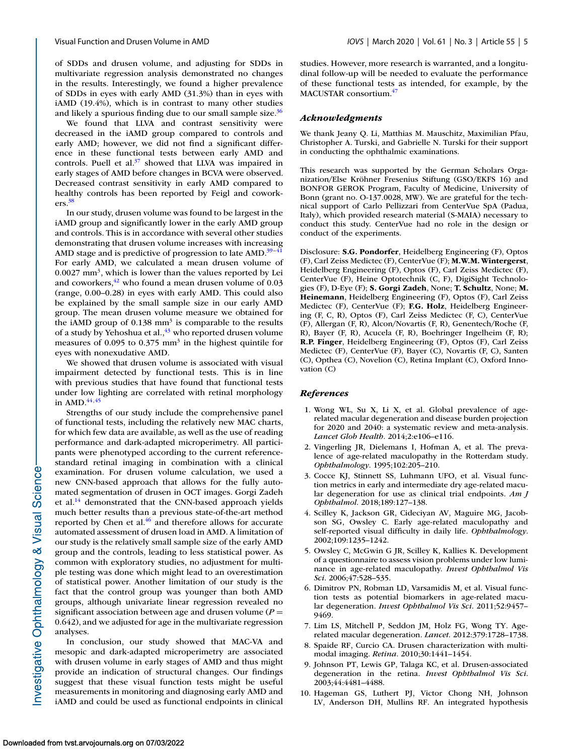<span id="page-4-0"></span>of SDDs and drusen volume, and adjusting for SDDs in multivariate regression analysis demonstrated no changes in the results. Interestingly, we found a higher prevalence of SDDs in eyes with early AMD (31.3%) than in eyes with iAMD (19.4%), which is in contrast to many other studies and likely a spurious finding due to our small sample size. $36$ 

We found that LLVA and contrast sensitivity were decreased in the iAMD group compared to controls and early AMD; however, we did not find a significant difference in these functional tests between early AMD and controls. Puell et al. $37$  showed that LLVA was impaired in early stages of AMD before changes in BCVA were observed. Decreased contrast sensitivity in early AMD compared to healthy controls has been reported by Feigl and coworkers[.38](#page-5-0)

In our study, drusen volume was found to be largest in the iAMD group and significantly lower in the early AMD group and controls. This is in accordance with several other studies demonstrating that drusen volume increases with increasing AMD stage and is predictive of progression to late  $\text{AMD.}^{39-4}$ For early AMD, we calculated a mean drusen volume of 0.0027 mm3, which is lower than the values reported by Lei and coworkers, $^{42}$  who found a mean drusen volume of 0.03 (range, 0.00–0.28) in eyes with early AMD. This could also be explained by the small sample size in our early AMD group. The mean drusen volume measure we obtained for the iAMD group of  $0.138$  mm<sup>3</sup> is comparable to the results of a study by Yehoshua et al.,<sup>43</sup> who reported drusen volume measures of 0.095 to 0.375 mm<sup>3</sup> in the highest quintile for eyes with nonexudative AMD.

We showed that drusen volume is associated with visual impairment detected by functional tests. This is in line with previous studies that have found that functional tests under low lighting are correlated with retinal morphology in AMD. $44,45$ 

Strengths of our study include the comprehensive panel of functional tests, including the relatively new MAC charts, for which few data are available, as well as the use of reading performance and dark-adapted microperimetry. All participants were phenotyped according to the current referencestandard retinal imaging in combination with a clinical examination. For drusen volume calculation, we used a new CNN-based approach that allows for the fully automated segmentation of drusen in OCT images. Gorgi Zadeh et al.<sup>14</sup> demonstrated that the CNN-based approach yields much better results than a previous state-of-the-art method reported by Chen et al.<sup>46</sup> and therefore allows for accurate automated assessment of drusen load in AMD. A limitation of our study is the relatively small sample size of the early AMD group and the controls, leading to less statistical power. As common with exploratory studies, no adjustment for multiple testing was done which might lead to an overestimation of statistical power. Another limitation of our study is the fact that the control group was younger than both AMD groups, although univariate linear regression revealed no significant association between age and drusen volume  $(P =$ 0.642), and we adjusted for age in the multivariate regression analyses.

In conclusion, our study showed that MAC-VA and mesopic and dark-adapted microperimetry are associated with drusen volume in early stages of AMD and thus might provide an indication of structural changes. Our findings suggest that these visual function tests might be useful measurements in monitoring and diagnosing early AMD and iAMD and could be used as functional endpoints in clinical studies. However, more research is warranted, and a longitudinal follow-up will be needed to evaluate the performance of these functional tests as intended, for example, by the MACUSTAR consortium[.47](#page-6-0)

### *Acknowledgments*

We thank Jeany Q. Li, Matthias M. Mauschitz, Maximilian Pfau, Christopher A. Turski, and Gabrielle N. Turski for their support in conducting the ophthalmic examinations.

This research was supported by the German Scholars Organization/Else Kröhner Fresenius Stiftung (GSO/EKFS 16) and BONFOR GEROK Program, Faculty of Medicine, University of Bonn (grant no. O-137.0028, MW). We are grateful for the technical support of Carlo Pellizzari from CenterVue SpA (Padua, Italy), which provided research material (S-MAIA) necessary to conduct this study. CenterVue had no role in the design or conduct of the experiments.

Disclosure: **S.G. Pondorfer**, Heidelberg Engineering (F), Optos (F), Carl Zeiss Medictec (F), CenterVue (F); **M.W.M.Wintergerst**, Heidelberg Engineering (F), Optos (F), Carl Zeiss Medictec (F), CenterVue (F), Heine Optotechnik (C, F), DigiSight Technologies (F), D-Eye (F); **S. Gorgi Zadeh**, None; **T. Schultz**, None; **M. Heinemann**, Heidelberg Engineering (F), Optos (F), Carl Zeiss Medictec (F), CenterVue (F); **F.G. Holz**, Heidelberg Engineering (F, C, R), Optos (F), Carl Zeiss Medictec (F, C), CenterVue (F), Allergan (F, R), Alcon/Novartis (F, R), Genentech/Roche (F, R), Bayer (F, R), Acucela (F, R), Boehringer Ingelheim (F, R); **R.P. Finger**, Heidelberg Engineering (F), Optos (F), Carl Zeiss Medictec (F), CenterVue (F), Bayer (C), Novartis (F, C), Santen (C), Opthea (C), Novelion (C), Retina Implant (C), Oxford Innovation (C)

#### *References*

- 1. Wong WL, Su X, Li X, et al. Global prevalence of agerelated macular degeneration and disease burden projection for 2020 and 2040: a systematic review and meta-analysis. *Lancet Glob Health*. 2014;2:e106–e116.
- 2. Vingerling JR, Dielemans I, Hofman A, et al. The prevalence of age-related maculopathy in the Rotterdam study. *Ophthalmology*. 1995;102:205–210.
- 3. Cocce KJ, Stinnett SS, Luhmann UFO, et al. Visual function metrics in early and intermediate dry age-related macular degeneration for use as clinical trial endpoints. *Am J Ophthalmol*. 2018;189:127–138.
- 4. Scilley K, Jackson GR, Cideciyan AV, Maguire MG, Jacobson SG, Owsley C. Early age-related maculopathy and self-reported visual difficulty in daily life. *Ophthalmology*. 2002;109:1235–1242.
- 5. Owsley C, McGwin G JR, Scilley K, Kallies K. Development of a questionnaire to assess vision problems under low luminance in age-related maculopathy. *Invest Ophthalmol Vis Sci*. 2006;47:528–535.
- 6. Dimitrov PN, Robman LD, Varsamidis M, et al. Visual function tests as potential biomarkers in age-related macular degeneration. *Invest Ophthalmol Vis Sci*. 2011;52:9457– 9469.
- 7. Lim LS, Mitchell P, Seddon JM, Holz FG, Wong TY. Agerelated macular degeneration. *Lancet*. 2012:379:1728–1738.
- 8. Spaide RF, Curcio CA. Drusen characterization with multimodal imaging. *Retina*. 2010;30:1441–1454.
- 9. Johnson PT, Lewis GP, Talaga KC, et al. Drusen-associated degeneration in the retina. *Invest Ophthalmol Vis Sci*. 2003;44:4481–4488.
- 10. Hageman GS, Luthert PJ, Victor Chong NH, Johnson LV, Anderson DH, Mullins RF. An integrated hypothesis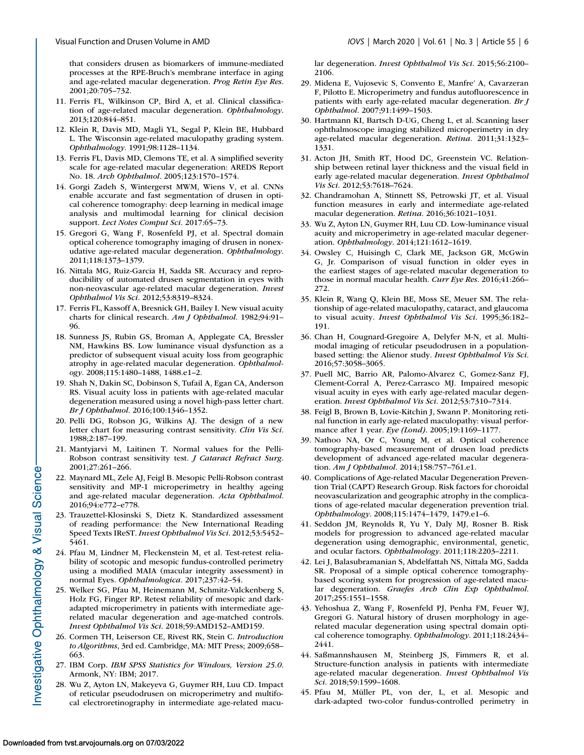<span id="page-5-0"></span>that considers drusen as biomarkers of immune-mediated processes at the RPE-Bruch's membrane interface in aging and age-related macular degeneration. *Prog Retin Eye Res*. 2001;20:705–732.

- 11. Ferris FL, Wilkinson CP, Bird A, et al. Clinical classification of age-related macular degeneration. *Ophthalmology*. 2013;120:844–851.
- 12. Klein R, Davis MD, Magli YL, Segal P, Klein BE, Hubbard L. The Wisconsin age-related maculopathy grading system. *Ophthalmology*. 1991;98:1128–1134.
- 13. Ferris FL, Davis MD, Clemons TE, et al. A simplified severity scale for age-related macular degeneration: AREDS Report No. 18. *Arch Ophthalmol*. 2005;123:1570–1574.
- 14. Gorgi Zadeh S, Wintergerst MWM, Wiens V, et al. CNNs enable accurate and fast segmentation of drusen in optical coherence tomography: deep learning in medical image analysis and multimodal learning for clinical decision support. *Lect Notes Comput Sci*. 2017:65–73.
- 15. Gregori G, Wang F, Rosenfeld PJ, et al. Spectral domain optical coherence tomography imaging of drusen in nonexudative age-related macular degeneration. *Ophthalmology*. 2011;118:1373–1379.
- 16. Nittala MG, Ruiz-Garcia H, Sadda SR. Accuracy and reproducibility of automated drusen segmentation in eyes with non-neovascular age-related macular degeneration. *Invest Ophthalmol Vis Sci*. 2012;53:8319–8324.
- 17. Ferris FL, Kassoff A, Bresnick GH, Bailey I. New visual acuity charts for clinical research. *Am J Ophthalmol*. 1982;94:91– 96.
- 18. Sunness JS, Rubin GS, Broman A, Applegate CA, Bressler NM, Hawkins BS. Low luminance visual dysfunction as a predictor of subsequent visual acuity loss from geographic atrophy in age-related macular degeneration. *Ophthalmology*. 2008;115:1480–1488, 1488.e1–2.
- 19. Shah N, Dakin SC, Dobinson S, Tufail A, Egan CA, Anderson RS. Visual acuity loss in patients with age-related macular degeneration measured using a novel high-pass letter chart. *Br J Ophthalmol*. 2016;100:1346–1352.
- 20. Pelli DG, Robson JG, Wilkins AJ. The design of a new letter chart for measuring contrast sensitivity. *Clin Vis Sci*. 1988;2:187–199.
- 21. Mantyjarvi M, Laitinen T. Normal values for the Pelli-Robson contrast sensitivity test. *J Cataract Refract Surg*. 2001;27:261–266.
- 22. Maynard ML, Zele AJ, Feigl B. Mesopic Pelli-Robson contrast sensitivity and MP-1 microperimetry in healthy ageing and age-related macular degeneration. *Acta Ophthalmol*. 2016;94:e772–e778.
- 23. Trauzettel-Klosinski S, Dietz K. Standardized assessment of reading performance: the New International Reading Speed Texts IReST. *Invest Ophthalmol Vis Sci*. 2012;53:5452– 5461.
- 24. Pfau M, Lindner M, Fleckenstein M, et al. Test-retest reliability of scotopic and mesopic fundus-controlled perimetry using a modified MAIA (macular integrity assessment) in normal Eyes. *Ophthalmologica*. 2017;237:42–54.
- 25. Welker SG, Pfau M, Heinemann M, Schmitz-Valckenberg S, Holz FG, Finger RP. Retest reliability of mesopic and darkadapted microperimetry in patients with intermediate agerelated macular degeneration and age-matched controls. *Invest Ophthalmol Vis Sci*. 2018;59:AMD152–AMD159.
- 26. Cormen TH, Leiserson CE, Rivest RK, Stein C. *Introduction to Algorithms*, 3rd ed. Cambridge, MA: MIT Press; 2009;658– 663.
- 27. IBM Corp. *IBM SPSS Statistics for Windows, Version 25.0*. Armonk, NY: IBM; 2017.
- 28. Wu Z, Ayton LN, Makeyeva G, Guymer RH, Luu CD. Impact of reticular pseudodrusen on microperimetry and multifocal electroretinography in intermediate age-related macu-

lar degeneration. *Invest Ophthalmol Vis Sci*. 2015;56:2100– 2106.

- 29. Midena E, Vujosevic S, Convento E, Manfre' A, Cavarzeran F, Pilotto E. Microperimetry and fundus autofluorescence in patients with early age-related macular degeneration. *Br J Ophthalmol*. 2007;91:1499–1503.
- 30. Hartmann KI, Bartsch D-UG, Cheng L, et al. Scanning laser ophthalmoscope imaging stabilized microperimetry in dry age-related macular degeneration. *Retina.* 2011;31:1323– 1331.
- 31. Acton JH, Smith RT, Hood DC, Greenstein VC. Relationship between retinal layer thickness and the visual field in early age-related macular degeneration. *Invest Ophthalmol Vis Sci*. 2012;53:7618–7624.
- 32. Chandramohan A, Stinnett SS, Petrowski JT, et al. Visual function measures in early and intermediate age-related macular degeneration. *Retina*. 2016;36:1021–1031.
- 33. Wu Z, Ayton LN, Guymer RH, Luu CD. Low-luminance visual acuity and microperimetry in age-related macular degeneration. *Ophthalmology*. 2014;121:1612–1619.
- 34. Owsley C, Huisingh C, Clark ME, Jackson GR, McGwin G, Jr. Comparison of visual function in older eyes in the earliest stages of age-related macular degeneration to those in normal macular health. *Curr Eye Res*. 2016;41:266– 272.
- 35. Klein R, Wang Q, Klein BE, Moss SE, Meuer SM. The relationship of age-related maculopathy, cataract, and glaucoma to visual acuity. *Invest Ophthalmol Vis Sci*. 1995;36:182– 191.
- 36. Chan H, Cougnard-Gregoire A, Delyfer M-N, et al. Multimodal imaging of reticular pseudodrusen in a populationbased setting: the Alienor study. *Invest Ophthalmol Vis Sci*. 2016;57:3058–3065.
- 37. Puell MC, Barrio AR, Palomo-Alvarez C, Gomez-Sanz FJ, Clement-Corral A, Perez-Carrasco MJ. Impaired mesopic visual acuity in eyes with early age-related macular degeneration. *Invest Ophthalmol Vis Sci*. 2012;53:7310–7314.
- 38. Feigl B, Brown B, Lovie-Kitchin J, Swann P. Monitoring retinal function in early age-related maculopathy: visual performance after 1 year. *Eye (Lond)*. 2005;19:1169–1177.
- 39. Nathoo NA, Or C, Young M, et al. Optical coherence tomography-based measurement of drusen load predicts development of advanced age-related macular degeneration. *Am J Ophthalmol*. 2014;158:757–761.e1.
- 40. Complications of Age-related Macular Degeneration Prevention Trial (CAPT) Research Group. Risk factors for choroidal neovascularization and geographic atrophy in the complications of age-related macular degeneration prevention trial. *Ophthalmology*. 2008;115:1474–1479, 1479.e1–6.
- 41. Seddon JM, Reynolds R, Yu Y, Daly MJ, Rosner B. Risk models for progression to advanced age-related macular degeneration using demographic, environmental, genetic, and ocular factors. *Ophthalmology*. 2011;118:2203–2211.
- 42. Lei J, Balasubramanian S, Abdelfattah NS, Nittala MG, Sadda SR. Proposal of a simple optical coherence tomographybased scoring system for progression of age-related macular degeneration. *Graefes Arch Clin Exp Ophthalmol*. 2017;255:1551–1558.
- 43. Yehoshua Z, Wang F, Rosenfeld PJ, Penha FM, Feuer WJ, Gregori G. Natural history of drusen morphology in agerelated macular degeneration using spectral domain optical coherence tomography. *Ophthalmology*. 2011;118:2434– 2441.
- 44. Saßmannshausen M, Steinberg JS, Fimmers R, et al. Structure-function analysis in patients with intermediate age-related macular degeneration. *Invest Ophthalmol Vis Sci*. 2018;59:1599–1608.
- 45. Pfau M, Müller PL, von der, L, et al. Mesopic and dark-adapted two-color fundus-controlled perimetry in